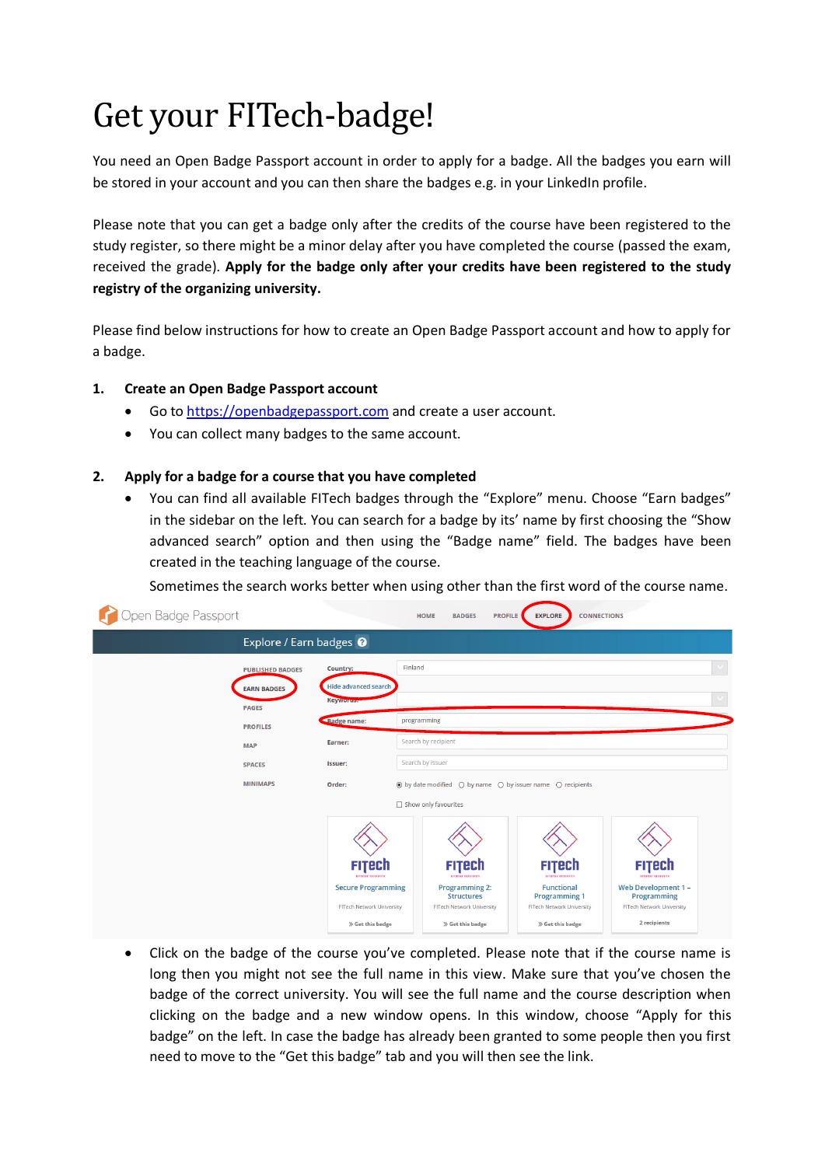# Get your FITech-badge!

You need an Open Badge Passport account in order to apply for a badge. All the badges you earn will be stored in your account and you can then share the badges e.g. in your LinkedIn profile.

Please note that you can get a badge only after the credits of the course have been registered to the study register, so there might be a minor delay after you have completed the course (passed the exam, received the grade). **Apply for the badge only after your credits have been registered to the study registry of the organizing university.**

Please find below instructions for how to create an Open Badge Passport account and how to apply for a badge.

- **1. Create an Open Badge Passport account**
	- Go to [https://openbadgepassport.com](https://openbadgepassport.com/) and create a user account.
	- You can collect many badges to the same account.

#### **2. Apply for a badge for a course that you have completed**

• You can find all available FITech badges through the "Explore" menu. Choose "Earn badges" in the sidebar on the left. You can search for a badge by its' name by first choosing the "Show advanced search" option and then using the "Badge name" field. The badges have been created in the teaching language of the course.

Sometimes the search works better when using other than the first word of the course name.

| Open Badge Passport                                           |                                                                                   | <b>HOME</b><br><b>BADGES</b>                                                                       | <b>PROFILE</b><br><b>CONNECTIONS</b><br><b>EXPLORE</b>                                                                        |                                                                                               |  |
|---------------------------------------------------------------|-----------------------------------------------------------------------------------|----------------------------------------------------------------------------------------------------|-------------------------------------------------------------------------------------------------------------------------------|-----------------------------------------------------------------------------------------------|--|
| Explore / Earn badges <sup>O</sup>                            |                                                                                   |                                                                                                    |                                                                                                                               |                                                                                               |  |
| <b>PUBLISHED BADGES</b><br><b>EARN BADGES</b><br><b>PAGES</b> | Country:<br>Hide advanced search<br>Keyworus.                                     | Finland                                                                                            |                                                                                                                               |                                                                                               |  |
| <b>PROFILES</b><br><b>MAP</b>                                 | <b>Badge name:</b><br>Earner:                                                     | programming<br>Search by recipient                                                                 |                                                                                                                               |                                                                                               |  |
| <b>SPACES</b>                                                 | Issuer:                                                                           | Search by issuer                                                                                   |                                                                                                                               |                                                                                               |  |
| <b>MINIMAPS</b>                                               | Order:                                                                            | Show only favourites                                                                               | $\circledcirc$ by date modified $\circlearrowright$ by name $\circlearrowright$ by issuer name $\circlearrowright$ recipients |                                                                                               |  |
|                                                               | <b>FITECh</b><br><b>NETWORK INVESTITY</b>                                         | <b>FITECh</b><br><b><i><u>ACTMENT INTERFEITY</u></i></b>                                           | <b>FITECh</b><br><b>ACTIVITIES ENTIRERETY</b>                                                                                 | <b>FITECh</b><br><b>NETWORK INVESTITY</b>                                                     |  |
|                                                               | <b>Secure Programming</b><br><b>FITech Network University</b><br>» Get this badge | <b>Programming 2:</b><br><b>Structures</b><br><b>FITech Network University</b><br>» Get this badge | <b>Functional</b><br><b>Programming 1</b><br><b>FITech Network University</b><br><b>&gt;&gt;</b> Get this badge               | <b>Web Development 1 -</b><br>Programming<br><b>FITech Network University</b><br>2 recipients |  |

• Click on the badge of the course you've completed. Please note that if the course name is long then you might not see the full name in this view. Make sure that you've chosen the badge of the correct university. You will see the full name and the course description when clicking on the badge and a new window opens. In this window, choose "Apply for this badge" on the left. In case the badge has already been granted to some people then you first need to move to the "Get this badge" tab and you will then see the link.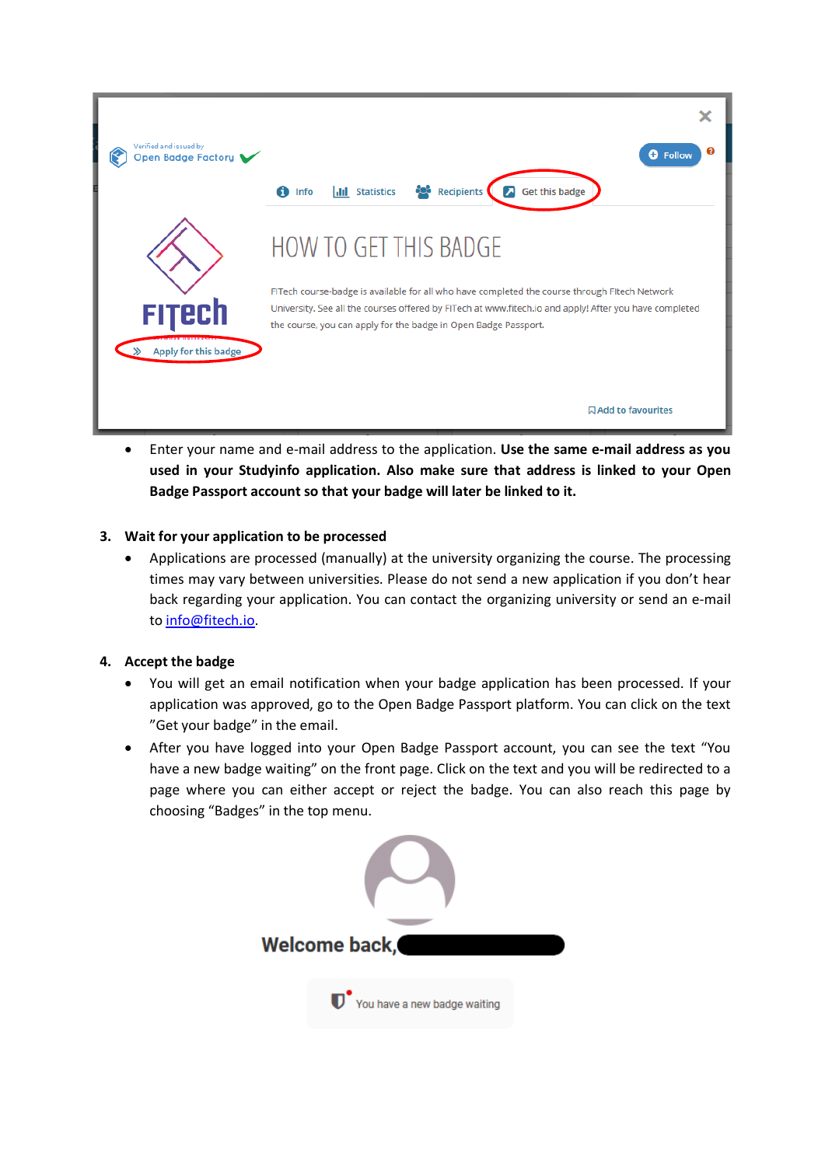

• Enter your name and e-mail address to the application. **Use the same e-mail address as you used in your Studyinfo application. Also make sure that address is linked to your Open Badge Passport account so that your badge will later be linked to it.**

## **3. Wait for your application to be processed**

• Applications are processed (manually) at the university organizing the course. The processing times may vary between universities. Please do not send a new application if you don't hear back regarding your application. You can contact the organizing university or send an e-mail to [info@fitech.io.](mailto:info@fitech.io)

## **4. Accept the badge**

- You will get an email notification when your badge application has been processed. If your application was approved, go to the Open Badge Passport platform. You can click on the text "Get your badge" in the email.
- After you have logged into your Open Badge Passport account, you can see the text "You have a new badge waiting" on the front page. Click on the text and you will be redirected to a page where you can either accept or reject the badge. You can also reach this page by choosing "Badges" in the top menu.

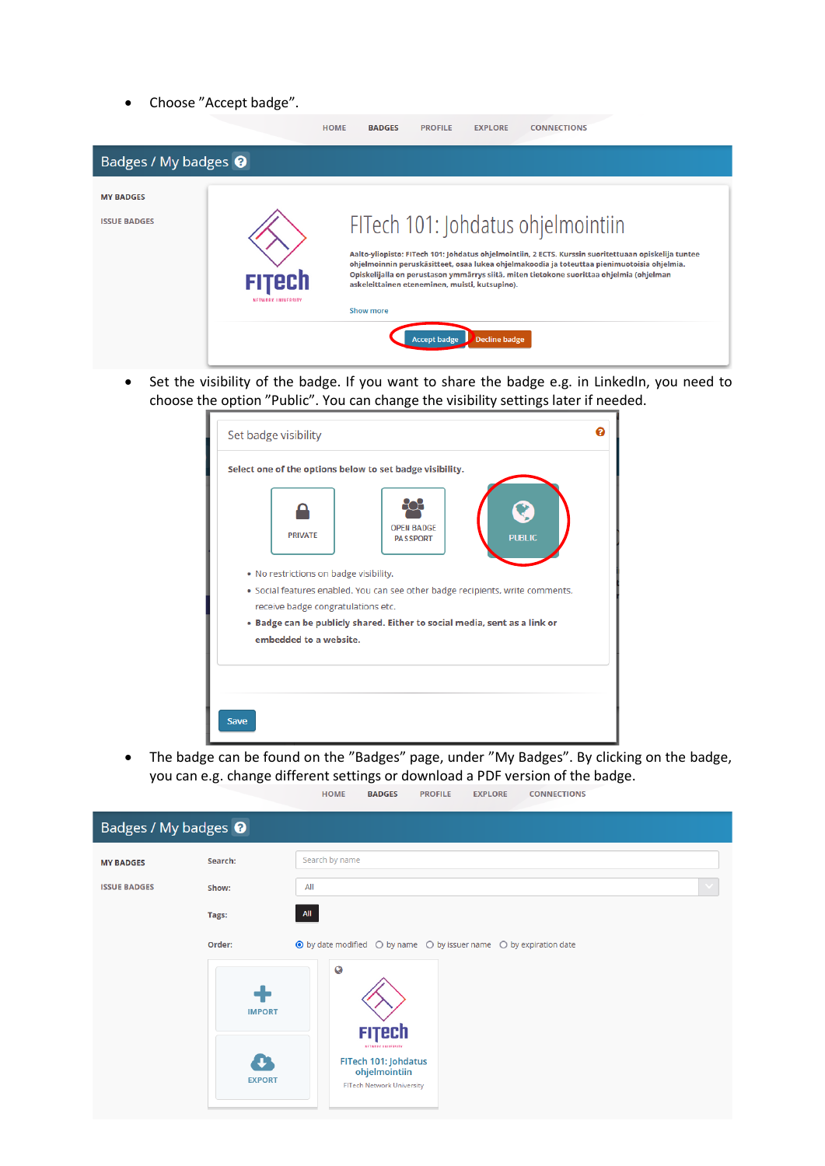• Choose "Accept badge".

|                                         |                                     | <b>HOME</b> | <b>BADGES</b>    | <b>PROFILE</b>      | <b>EXPLORE</b>                                                         | <b>CONNECTIONS</b>                                                                                                                                                                                                                                                                                                                    |
|-----------------------------------------|-------------------------------------|-------------|------------------|---------------------|------------------------------------------------------------------------|---------------------------------------------------------------------------------------------------------------------------------------------------------------------------------------------------------------------------------------------------------------------------------------------------------------------------------------|
| Badges / My badges <sup>O</sup>         |                                     |             |                  |                     |                                                                        |                                                                                                                                                                                                                                                                                                                                       |
| <b>MY BADGES</b><br><b>ISSUE BADGES</b> | <b>FITECh</b><br>NETWORK UNIVERSITY |             | <b>Show more</b> | <b>Accept badge</b> | askeleittainen eteneminen, muisti, kutsupino).<br><b>Decline badge</b> | FITech 101: Johdatus ohjelmointiin<br>Aalto-yliopisto: FITech 101: Johdatus ohjelmointiin, 2 ECTS. Kurssin suoritettuaan opiskelija tuntee<br>ohjelmoinnin peruskäsitteet, osaa lukea ohjelmakoodia ja toteuttaa pienimuotoisia ohjelmia.<br>Opiskelijalla on perustason ymmärrys siitä, miten tietokone suorittaa ohjelmia (ohjelman |

• Set the visibility of the badge. If you want to share the badge e.g. in LinkedIn, you need to choose the option "Public". You can change the visibility settings later if needed.



• The badge can be found on the "Badges" page, under "My Badges". By clicking on the badge, you can e.g. change different settings or download a PDF version of the badge..<br>NS

|  | <b>HOME</b> | <b>BADGES</b> | <b>PROFILE</b> | <b>EXPLORE</b> | <b>CONNECTIO</b> |
|--|-------------|---------------|----------------|----------------|------------------|
|--|-------------|---------------|----------------|----------------|------------------|

| Badges / My badges <sup>O</sup> |                                      |                                                                                                                                    |  |  |  |  |
|---------------------------------|--------------------------------------|------------------------------------------------------------------------------------------------------------------------------------|--|--|--|--|
| <b>MY BADGES</b>                | Search:                              | Search by name                                                                                                                     |  |  |  |  |
| <b>ISSUE BADGES</b>             | Show:                                | All                                                                                                                                |  |  |  |  |
|                                 | Tags:                                | All                                                                                                                                |  |  |  |  |
| Order:                          |                                      | ⊙ by date modified ○ by name ○ by issuer name ○ by expiration date                                                                 |  |  |  |  |
|                                 | <b>IMPORT</b><br>J.<br><b>EXPORT</b> | $\bf Q$<br><b>FITECh</b><br><b>NETWORK INIVERSITY</b><br>FITech 101: Johdatus<br>ohjelmointiin<br><b>FITech Network University</b> |  |  |  |  |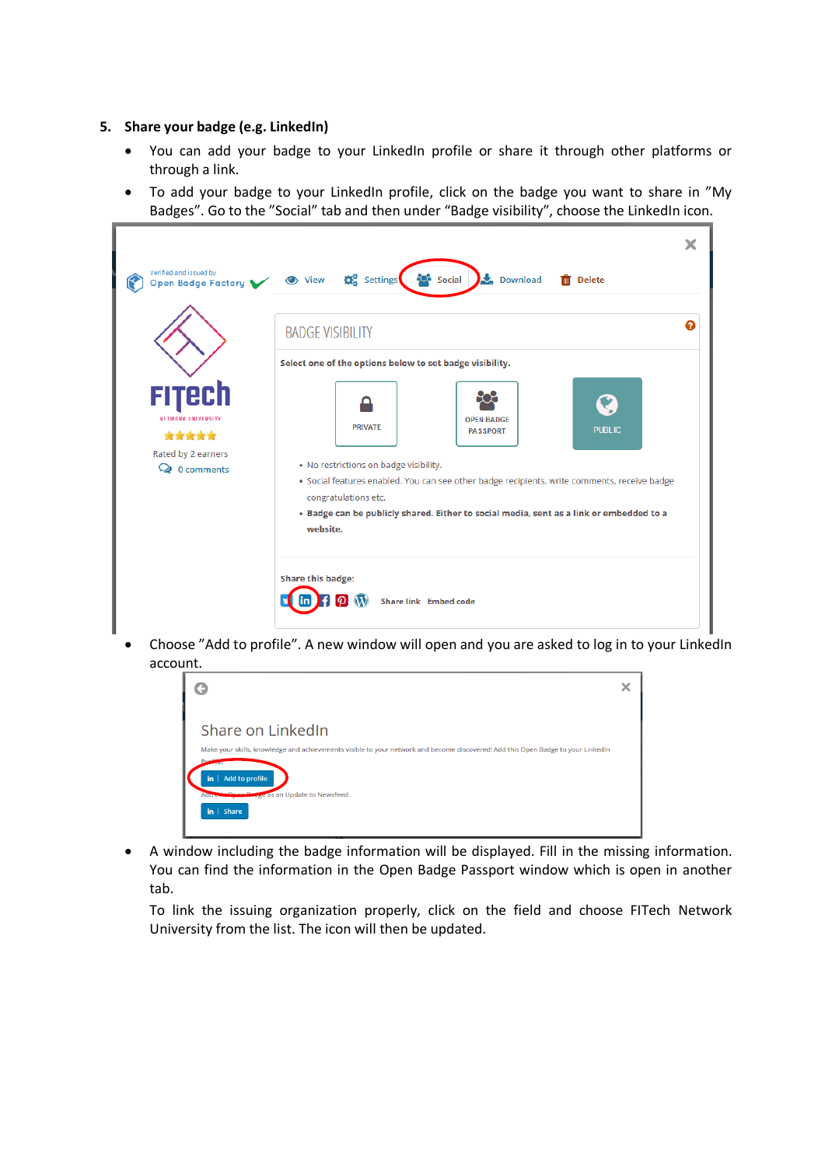#### **5. Share your badge (e.g. LinkedIn)**

- You can add your badge to your LinkedIn profile or share it through other platforms or through a link.
- To add your badge to your LinkedIn profile, click on the badge you want to share in "My Badges". Go to the "Social" tab and then under "Badge visibility", choose the LinkedIn icon.

| <b>BADGE VISIBILITY</b>                                                                                   |                                                                                                                                              |                                                                                                                                                                                                                                 |               |
|-----------------------------------------------------------------------------------------------------------|----------------------------------------------------------------------------------------------------------------------------------------------|---------------------------------------------------------------------------------------------------------------------------------------------------------------------------------------------------------------------------------|---------------|
| FITECh<br><b>NETWORK HNIVEDRITY</b><br>*****<br>Rated by 2 earners<br>$\mathbf{Q}$ 0 comments<br>website. | Select one of the options below to set badge visibility.<br><b>PRIVATE</b><br>. No restrictions on badge visibility.<br>congratulations etc. | <b>OPEN BADGE</b><br><b>PASSPORT</b><br>· Social features enabled. You can see other badge recipients, write comments, receive badge<br>. Badge can be publicly shared. Either to social media, sent as a link or embedded to a | <b>PUBLIC</b> |

• Choose "Add to profile". A new window will open and you are asked to log in to your LinkedIn account.



• A window including the badge information will be displayed. Fill in the missing information. You can find the information in the Open Badge Passport window which is open in another tab.

To link the issuing organization properly, click on the field and choose FITech Network University from the list. The icon will then be updated.